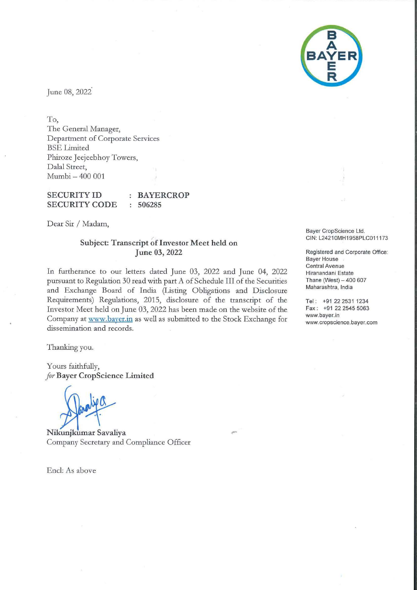

June 08, 2022

To,

The General Manager, Department of Corporate Services BSE Limited Phiroze Jeejeebhoy Towers, Dalal Street, Mumbi - 400 001

**SECURITY ID SECURITY CODE BAYERCROP 506285** 

Dear Sir/ Madam,

## **Subject: Transcript of Investor Meet held on June 03, 2022**

In furtherance to our letters dated June 03, 2022 and June 04, 2022 pursuant to Regulation 30 read with part A of Schedule III of the Securities and Exchange Board of India (Listing Obligations and Disclosure Requirements) Regulations, 2015, disclosure of the transcript of the Investor Meet held on June 03, 2022 has been made on the website of the Company at www.baver.in as well as submitted to the Stock Exchange for dissemination and records.

Thanking you.

Yours faithfully, *for* **Bayer CropScience Limited** 

**Nikunjkumar Savaliya**  Company Secretary and Compliance Officer

Encl: As above

Bayer CropScience Ltd. CIN: L2421 0MH1958PLC011173

Registered and Corporate Office: Bayer House Central Avenue Hiranandani Estate Thane (West)  $-400607$ Maharashtra, India

Tel: +91 22 2531 1234 Fax: +91 22 2545 5063 www.bayer.in www.cropscience.bayer.com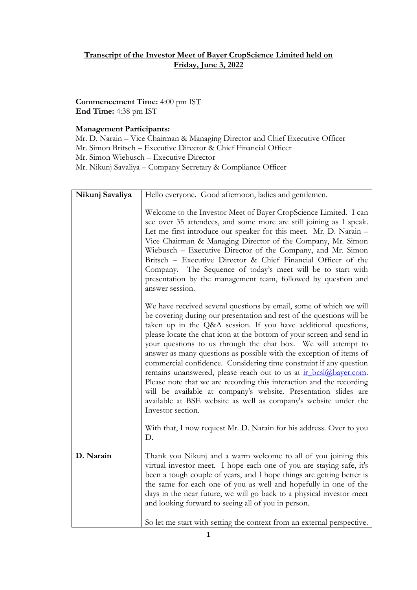## **Transcript of the Investor Meet of Bayer CropScience Limited held on Friday, June 3, 2022**

**Commencement Time:** 4:00 pm IST **End Time:** 4:38 pm IST

## **Management Participants:**

Mr. D. Narain – Vice Chairman & Managing Director and Chief Executive Officer Mr. Simon Britsch – Executive Director & Chief Financial Officer Mr. Simon Wiebusch – Executive Director Mr. Nikunj Savaliya – Company Secretary & Compliance Officer

| Nikunj Savaliya | Hello everyone. Good afternoon, ladies and gentlemen.                                                                                                                                                                                                                                                                                                                                                                                                                                                                                                                                                                                                                                                                                                                                                      |
|-----------------|------------------------------------------------------------------------------------------------------------------------------------------------------------------------------------------------------------------------------------------------------------------------------------------------------------------------------------------------------------------------------------------------------------------------------------------------------------------------------------------------------------------------------------------------------------------------------------------------------------------------------------------------------------------------------------------------------------------------------------------------------------------------------------------------------------|
|                 | Welcome to the Investor Meet of Bayer CropScience Limited. I can<br>see over 35 attendees, and some more are still joining as I speak.<br>Let me first introduce our speaker for this meet. Mr. D. Narain -<br>Vice Chairman & Managing Director of the Company, Mr. Simon<br>Wiebusch - Executive Director of the Company, and Mr. Simon<br>Britsch - Executive Director & Chief Financial Officer of the<br>Company. The Sequence of today's meet will be to start with<br>presentation by the management team, followed by question and<br>answer session.                                                                                                                                                                                                                                              |
|                 | We have received several questions by email, some of which we will<br>be covering during our presentation and rest of the questions will be<br>taken up in the Q&A session. If you have additional questions,<br>please locate the chat icon at the bottom of your screen and send in<br>your questions to us through the chat box. We will attempt to<br>answer as many questions as possible with the exception of items of<br>commercial confidence. Considering time constraint if any question<br>remains unanswered, please reach out to us at ir bcsl@bayer.com.<br>Please note that we are recording this interaction and the recording<br>will be available at company's website. Presentation slides are<br>available at BSE website as well as company's website under the<br>Investor section. |
|                 | With that, I now request Mr. D. Narain for his address. Over to you<br>D.                                                                                                                                                                                                                                                                                                                                                                                                                                                                                                                                                                                                                                                                                                                                  |
| D. Narain       | Thank you Nikunj and a warm welcome to all of you joining this<br>virtual investor meet. I hope each one of you are staying safe, it's<br>been a tough couple of years, and I hope things are getting better is<br>the same for each one of you as well and hopefully in one of the<br>days in the near future, we will go back to a physical investor meet<br>and looking forward to seeing all of you in person.<br>So let me start with setting the context from an external perspective.                                                                                                                                                                                                                                                                                                               |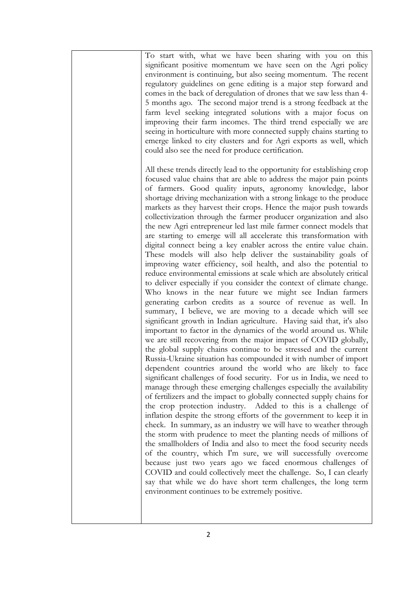| To start with, what we have been sharing with you on this<br>significant positive momentum we have seen on the Agri policy<br>environment is continuing, but also seeing momentum. The recent<br>regulatory guidelines on gene editing is a major step forward and<br>comes in the back of deregulation of drones that we saw less than 4-<br>5 months ago. The second major trend is a strong feedback at the<br>farm level seeking integrated solutions with a major focus on<br>improving their farm incomes. The third trend especially we are<br>seeing in horticulture with more connected supply chains starting to<br>emerge linked to city clusters and for Agri exports as well, which<br>could also see the need for produce certification.                                                                                                                                                                                                                                                                                                                                                                                                                                                                                                                                                                                                                                                                                                                                                                                                                                                                                                                                                                                                                                                                                                                                                                                                                                                                                                                                                                                                                                                                                                                                                                                                                                                                                                                       |
|------------------------------------------------------------------------------------------------------------------------------------------------------------------------------------------------------------------------------------------------------------------------------------------------------------------------------------------------------------------------------------------------------------------------------------------------------------------------------------------------------------------------------------------------------------------------------------------------------------------------------------------------------------------------------------------------------------------------------------------------------------------------------------------------------------------------------------------------------------------------------------------------------------------------------------------------------------------------------------------------------------------------------------------------------------------------------------------------------------------------------------------------------------------------------------------------------------------------------------------------------------------------------------------------------------------------------------------------------------------------------------------------------------------------------------------------------------------------------------------------------------------------------------------------------------------------------------------------------------------------------------------------------------------------------------------------------------------------------------------------------------------------------------------------------------------------------------------------------------------------------------------------------------------------------------------------------------------------------------------------------------------------------------------------------------------------------------------------------------------------------------------------------------------------------------------------------------------------------------------------------------------------------------------------------------------------------------------------------------------------------------------------------------------------------------------------------------------------------|
| All these trends directly lead to the opportunity for establishing crop<br>focused value chains that are able to address the major pain points<br>of farmers. Good quality inputs, agronomy knowledge, labor<br>shortage driving mechanization with a strong linkage to the produce<br>markets as they harvest their crops. Hence the major push towards<br>collectivization through the farmer producer organization and also<br>the new Agri entrepreneur led last mile farmer connect models that<br>are starting to emerge will all accelerate this transformation with<br>digital connect being a key enabler across the entire value chain.<br>These models will also help deliver the sustainability goals of<br>improving water efficiency, soil health, and also the potential to<br>reduce environmental emissions at scale which are absolutely critical<br>to deliver especially if you consider the context of climate change.<br>Who knows in the near future we might see Indian farmers<br>generating carbon credits as a source of revenue as well. In<br>summary, I believe, we are moving to a decade which will see<br>significant growth in Indian agriculture. Having said that, it's also<br>important to factor in the dynamics of the world around us. While<br>we are still recovering from the major impact of COVID globally,<br>the global supply chains continue to be stressed and the current<br>Russia-Ukraine situation has compounded it with number of import<br>dependent countries around the world who are likely to face<br>significant challenges of food security. For us in India, we need to<br>manage through these emerging challenges especially the availability<br>of fertilizers and the impact to globally connected supply chains for<br>the crop protection industry. Added to this is a challenge of<br>inflation despite the strong efforts of the government to keep it in<br>check. In summary, as an industry we will have to weather through<br>the storm with prudence to meet the planting needs of millions of<br>the smallholders of India and also to meet the food security needs<br>of the country, which I'm sure, we will successfully overcome<br>because just two years ago we faced enormous challenges of<br>COVID and could collectively meet the challenge. So, I can clearly<br>say that while we do have short term challenges, the long term<br>environment continues to be extremely positive. |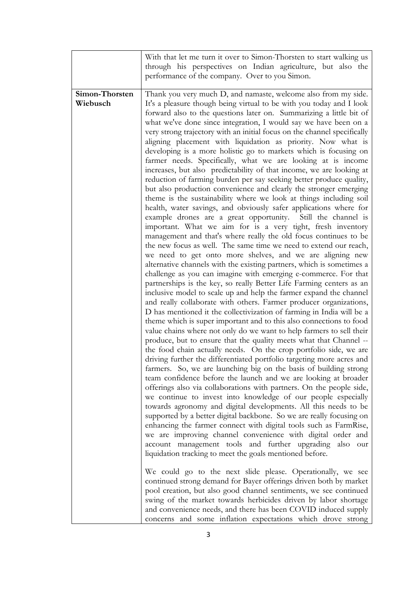|                            | With that let me turn it over to Simon-Thorsten to start walking us<br>through his perspectives on Indian agriculture, but also the<br>performance of the company. Over to you Simon.                                                                                                                                                                                                                                                                                                                                                                                                                                                                                                                                                                                                                                                                                                                                                                                                                                                                                                                                                                                                                                                                                                                                                                                                                                                                                                                                                                                                                                                                                                                                                                                                                                                                                                                                                                                                                                                                                                                                                                                                                                                                                                                                                                                                                                                                                                                                                                                                                                                                                                                                                                                                                                                                                                                                                                                                                                                                                                                                                                                                 |
|----------------------------|---------------------------------------------------------------------------------------------------------------------------------------------------------------------------------------------------------------------------------------------------------------------------------------------------------------------------------------------------------------------------------------------------------------------------------------------------------------------------------------------------------------------------------------------------------------------------------------------------------------------------------------------------------------------------------------------------------------------------------------------------------------------------------------------------------------------------------------------------------------------------------------------------------------------------------------------------------------------------------------------------------------------------------------------------------------------------------------------------------------------------------------------------------------------------------------------------------------------------------------------------------------------------------------------------------------------------------------------------------------------------------------------------------------------------------------------------------------------------------------------------------------------------------------------------------------------------------------------------------------------------------------------------------------------------------------------------------------------------------------------------------------------------------------------------------------------------------------------------------------------------------------------------------------------------------------------------------------------------------------------------------------------------------------------------------------------------------------------------------------------------------------------------------------------------------------------------------------------------------------------------------------------------------------------------------------------------------------------------------------------------------------------------------------------------------------------------------------------------------------------------------------------------------------------------------------------------------------------------------------------------------------------------------------------------------------------------------------------------------------------------------------------------------------------------------------------------------------------------------------------------------------------------------------------------------------------------------------------------------------------------------------------------------------------------------------------------------------------------------------------------------------------------------------------------------------|
| Simon-Thorsten<br>Wiebusch | Thank you very much D, and namaste, welcome also from my side.<br>It's a pleasure though being virtual to be with you today and I look<br>forward also to the questions later on. Summarizing a little bit of<br>what we've done since integration, I would say we have been on a<br>very strong trajectory with an initial focus on the channel specifically<br>aligning placement with liquidation as priority. Now what is<br>developing is a more holistic go to markets which is focusing on<br>farmer needs. Specifically, what we are looking at is income<br>increases, but also predictability of that income, we are looking at<br>reduction of farming burden per say seeking better produce quality,<br>but also production convenience and clearly the stronger emerging<br>theme is the sustainability where we look at things including soil<br>health, water savings, and obviously safer applications where for<br>example drones are a great opportunity. Still the channel is<br>important. What we aim for is a very tight, fresh inventory<br>management and that's where really the old focus continues to be<br>the new focus as well. The same time we need to extend our reach,<br>we need to get onto more shelves, and we are aligning new<br>alternative channels with the existing partners, which is sometimes a<br>challenge as you can imagine with emerging e-commerce. For that<br>partnerships is the key, so really Better Life Farming centers as an<br>inclusive model to scale up and help the farmer expand the channel<br>and really collaborate with others. Farmer producer organizations,<br>D has mentioned it the collectivization of farming in India will be a<br>theme which is super important and to this also connections to food<br>value chains where not only do we want to help farmers to sell their<br>produce, but to ensure that the quality meets what that Channel --<br>the food chain actually needs. On the crop portfolio side, we are<br>driving further the differentiated portfolio targeting more acres and<br>farmers. So, we are launching big on the basis of building strong<br>team confidence before the launch and we are looking at broader<br>offerings also via collaborations with partners. On the people side,<br>we continue to invest into knowledge of our people especially<br>towards agronomy and digital developments. All this needs to be<br>supported by a better digital backbone. So we are really focusing on<br>enhancing the farmer connect with digital tools such as FarmRise,<br>we are improving channel convenience with digital order and<br>account management tools and further upgrading also our<br>liquidation tracking to meet the goals mentioned before.<br>We could go to the next slide please. Operationally, we see<br>continued strong demand for Bayer offerings driven both by market<br>pool creation, but also good channel sentiments, we see continued<br>swing of the market towards herbicides driven by labor shortage<br>and convenience needs, and there has been COVID induced supply<br>concerns and some inflation expectations which drove strong |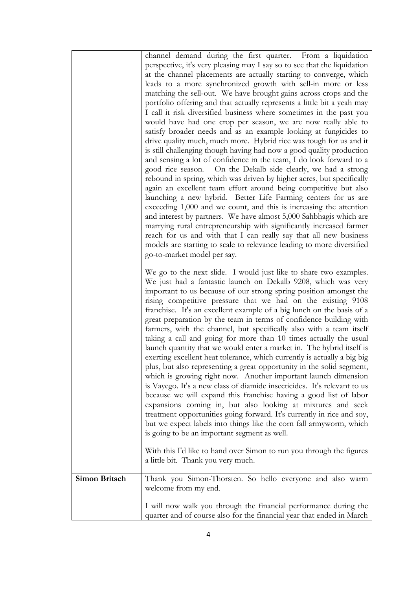|               | channel demand during the first quarter. From a liquidation                                                                        |
|---------------|------------------------------------------------------------------------------------------------------------------------------------|
|               | perspective, it's very pleasing may I say so to see that the liquidation                                                           |
|               | at the channel placements are actually starting to converge, which                                                                 |
|               | leads to a more synchronized growth with sell-in more or less                                                                      |
|               | matching the sell-out. We have brought gains across crops and the                                                                  |
|               | portfolio offering and that actually represents a little bit a yeah may                                                            |
|               | I call it risk diversified business where sometimes in the past you                                                                |
|               | would have had one crop per season, we are now really able to                                                                      |
|               | satisfy broader needs and as an example looking at fungicides to                                                                   |
|               | drive quality much, much more. Hybrid rice was tough for us and it                                                                 |
|               | is still challenging though having had now a good quality production                                                               |
|               | and sensing a lot of confidence in the team, I do look forward to a                                                                |
|               | good rice season. On the Dekalb side clearly, we had a strong                                                                      |
|               | rebound in spring, which was driven by higher acres, but specifically                                                              |
|               | again an excellent team effort around being competitive but also<br>launching a new hybrid. Better Life Farming centers for us are |
|               | exceeding 1,000 and we count, and this is increasing the attention                                                                 |
|               | and interest by partners. We have almost 5,000 Sahbhagis which are                                                                 |
|               | marrying rural entrepreneurship with significantly increased farmer                                                                |
|               | reach for us and with that I can really say that all new business                                                                  |
|               | models are starting to scale to relevance leading to more diversified                                                              |
|               | go-to-market model per say.                                                                                                        |
|               |                                                                                                                                    |
|               | We go to the next slide. I would just like to share two examples.                                                                  |
|               | We just had a fantastic launch on Dekalb 9208, which was very                                                                      |
|               | important to us because of our strong spring position amongst the<br>rising competitive pressure that we had on the existing 9108  |
|               | franchise. It's an excellent example of a big lunch on the basis of a                                                              |
|               | great preparation by the team in terms of confidence building with                                                                 |
|               | farmers, with the channel, but specifically also with a team itself                                                                |
|               | taking a call and going for more than 10 times actually the usual                                                                  |
|               | launch quantity that we would enter a market in. The hybrid itself is                                                              |
|               | exerting excellent heat tolerance, which currently is actually a big big                                                           |
|               | plus, but also representing a great opportunity in the solid segment,                                                              |
|               | which is growing right now. Another important launch dimension                                                                     |
|               | is Vayego. It's a new class of diamide insecticides. It's relevant to us                                                           |
|               | because we will expand this franchise having a good list of labor                                                                  |
|               | expansions coming in, but also looking at mixtures and seek                                                                        |
|               | treatment opportunities going forward. It's currently in rice and soy,                                                             |
|               | but we expect labels into things like the corn fall armyworm, which                                                                |
|               | is going to be an important segment as well.                                                                                       |
|               | With this I'd like to hand over Simon to run you through the figures                                                               |
|               | a little bit. Thank you very much.                                                                                                 |
|               |                                                                                                                                    |
| Simon Britsch | Thank you Simon-Thorsten. So hello everyone and also warm                                                                          |
|               | welcome from my end.                                                                                                               |
|               | I will now walk you through the financial performance during the                                                                   |
|               | quarter and of course also for the financial year that ended in March                                                              |
|               |                                                                                                                                    |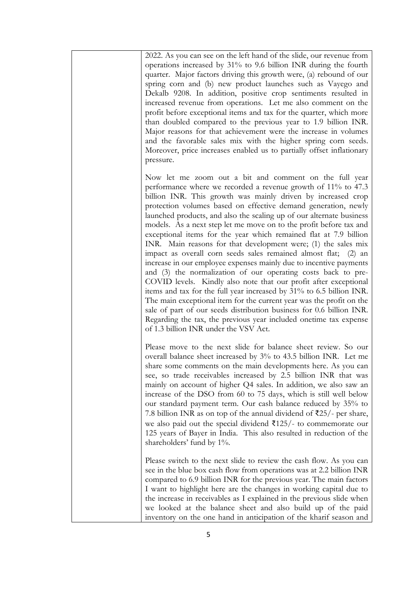| 2022. As you can see on the left hand of the slide, our revenue from<br>operations increased by 31% to 9.6 billion INR during the fourth<br>quarter. Major factors driving this growth were, (a) rebound of our<br>spring corn and (b) new product launches such as Vayego and<br>Dekalb 9208. In addition, positive crop sentiments resulted in<br>increased revenue from operations. Let me also comment on the<br>profit before exceptional items and tax for the quarter, which more<br>than doubled compared to the previous year to 1.9 billion INR.<br>Major reasons for that achievement were the increase in volumes<br>and the favorable sales mix with the higher spring corn seeds.<br>Moreover, price increases enabled us to partially offset inflationary<br>pressure.                                                                                                                                                                                                                                                                                                                                                                              |
|--------------------------------------------------------------------------------------------------------------------------------------------------------------------------------------------------------------------------------------------------------------------------------------------------------------------------------------------------------------------------------------------------------------------------------------------------------------------------------------------------------------------------------------------------------------------------------------------------------------------------------------------------------------------------------------------------------------------------------------------------------------------------------------------------------------------------------------------------------------------------------------------------------------------------------------------------------------------------------------------------------------------------------------------------------------------------------------------------------------------------------------------------------------------|
| Now let me zoom out a bit and comment on the full year<br>performance where we recorded a revenue growth of 11% to 47.3<br>billion INR. This growth was mainly driven by increased crop<br>protection volumes based on effective demand generation, newly<br>launched products, and also the scaling up of our alternate business<br>models. As a next step let me move on to the profit before tax and<br>exceptional items for the year which remained flat at 7.9 billion<br>INR. Main reasons for that development were; (1) the sales mix<br>impact as overall corn seeds sales remained almost flat; (2) an<br>increase in our employee expenses mainly due to incentive payments<br>and (3) the normalization of our operating costs back to pre-<br>COVID levels. Kindly also note that our profit after exceptional<br>items and tax for the full year increased by 31% to 6.5 billion INR.<br>The main exceptional item for the current year was the profit on the<br>sale of part of our seeds distribution business for 0.6 billion INR.<br>Regarding the tax, the previous year included onetime tax expense<br>of 1.3 billion INR under the VSV Act. |
| Please move to the next slide for balance sheet review. So our<br>overall balance sheet increased by 3% to 43.5 billion INR. Let me<br>share some comments on the main developments here. As you can<br>see, so trade receivables increased by 2.5 billion INR that was<br>mainly on account of higher Q4 sales. In addition, we also saw an<br>increase of the DSO from 60 to 75 days, which is still well below<br>our standard payment term. Our cash balance reduced by 35% to<br>7.8 billion INR as on top of the annual dividend of $\overline{25}/$ - per share,<br>we also paid out the special dividend $\overline{\xi}$ 125/- to commemorate our<br>125 years of Bayer in India. This also resulted in reduction of the<br>shareholders' fund by 1%.                                                                                                                                                                                                                                                                                                                                                                                                     |
| Please switch to the next slide to review the cash flow. As you can<br>see in the blue box cash flow from operations was at 2.2 billion INR<br>compared to 6.9 billion INR for the previous year. The main factors<br>I want to highlight here are the changes in working capital due to<br>the increase in receivables as I explained in the previous slide when<br>we looked at the balance sheet and also build up of the paid<br>inventory on the one hand in anticipation of the kharif season and                                                                                                                                                                                                                                                                                                                                                                                                                                                                                                                                                                                                                                                            |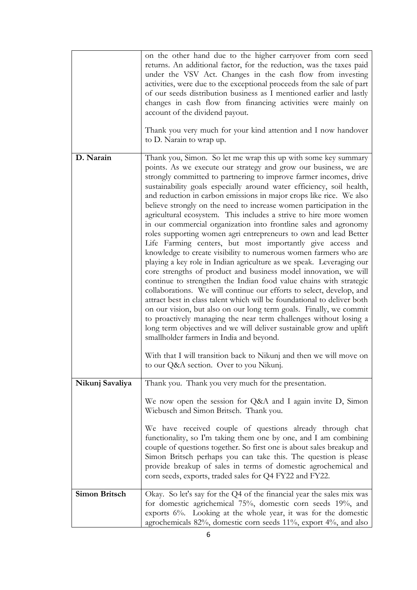|                      | on the other hand due to the higher carryover from corn seed<br>returns. An additional factor, for the reduction, was the taxes paid<br>under the VSV Act. Changes in the cash flow from investing<br>activities, were due to the exceptional proceeds from the sale of part<br>of our seeds distribution business as I mentioned earlier and lastly<br>changes in cash flow from financing activities were mainly on<br>account of the dividend payout.<br>Thank you very much for your kind attention and I now handover                                                                                                                                                                                                                                                                                                                                                                                                                                                                                                                                                                                                                                                                                                                                                                                                                                                                                                                                                               |
|----------------------|------------------------------------------------------------------------------------------------------------------------------------------------------------------------------------------------------------------------------------------------------------------------------------------------------------------------------------------------------------------------------------------------------------------------------------------------------------------------------------------------------------------------------------------------------------------------------------------------------------------------------------------------------------------------------------------------------------------------------------------------------------------------------------------------------------------------------------------------------------------------------------------------------------------------------------------------------------------------------------------------------------------------------------------------------------------------------------------------------------------------------------------------------------------------------------------------------------------------------------------------------------------------------------------------------------------------------------------------------------------------------------------------------------------------------------------------------------------------------------------|
|                      | to D. Narain to wrap up.                                                                                                                                                                                                                                                                                                                                                                                                                                                                                                                                                                                                                                                                                                                                                                                                                                                                                                                                                                                                                                                                                                                                                                                                                                                                                                                                                                                                                                                                 |
| D. Narain            | Thank you, Simon. So let me wrap this up with some key summary<br>points. As we execute our strategy and grow our business, we are<br>strongly committed to partnering to improve farmer incomes, drive<br>sustainability goals especially around water efficiency, soil health,<br>and reduction in carbon emissions in major crops like rice. We also<br>believe strongly on the need to increase women participation in the<br>agricultural ecosystem. This includes a strive to hire more women<br>in our commercial organization into frontline sales and agronomy<br>roles supporting women agri entrepreneurs to own and lead Better<br>Life Farming centers, but most importantly give access and<br>knowledge to create visibility to numerous women farmers who are<br>playing a key role in Indian agriculture as we speak. Leveraging our<br>core strengths of product and business model innovation, we will<br>continue to strengthen the Indian food value chains with strategic<br>collaborations. We will continue our efforts to select, develop, and<br>attract best in class talent which will be foundational to deliver both<br>on our vision, but also on our long term goals. Finally, we commit<br>to proactively managing the near term challenges without losing a<br>long term objectives and we will deliver sustainable grow and uplift<br>smallholder farmers in India and beyond.<br>With that I will transition back to Nikunj and then we will move on |
|                      | to our Q&A section. Over to you Nikunj.                                                                                                                                                                                                                                                                                                                                                                                                                                                                                                                                                                                                                                                                                                                                                                                                                                                                                                                                                                                                                                                                                                                                                                                                                                                                                                                                                                                                                                                  |
| Nikunj Savaliya      | Thank you. Thank you very much for the presentation.<br>We now open the session for Q&A and I again invite D, Simon                                                                                                                                                                                                                                                                                                                                                                                                                                                                                                                                                                                                                                                                                                                                                                                                                                                                                                                                                                                                                                                                                                                                                                                                                                                                                                                                                                      |
|                      | Wiebusch and Simon Britsch. Thank you.<br>We have received couple of questions already through chat<br>functionality, so I'm taking them one by one, and I am combining<br>couple of questions together. So first one is about sales breakup and<br>Simon Britsch perhaps you can take this. The question is please<br>provide breakup of sales in terms of domestic agrochemical and<br>corn seeds, exports, traded sales for Q4 FY22 and FY22.                                                                                                                                                                                                                                                                                                                                                                                                                                                                                                                                                                                                                                                                                                                                                                                                                                                                                                                                                                                                                                         |
| <b>Simon Britsch</b> | Okay. So let's say for the Q4 of the financial year the sales mix was<br>for domestic agrichemical 75%, domestic corn seeds 19%, and<br>exports $6\%$ . Looking at the whole year, it was for the domestic<br>agrochemicals 82%, domestic corn seeds 11%, export 4%, and also                                                                                                                                                                                                                                                                                                                                                                                                                                                                                                                                                                                                                                                                                                                                                                                                                                                                                                                                                                                                                                                                                                                                                                                                            |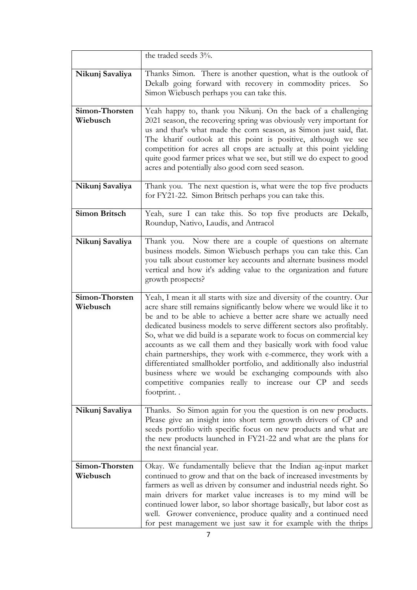|                            | the traded seeds 3%.                                                                                                                                                                                                                                                                                                                                                                                                                                                                                                                                                                                                                                                                                                             |
|----------------------------|----------------------------------------------------------------------------------------------------------------------------------------------------------------------------------------------------------------------------------------------------------------------------------------------------------------------------------------------------------------------------------------------------------------------------------------------------------------------------------------------------------------------------------------------------------------------------------------------------------------------------------------------------------------------------------------------------------------------------------|
| Nikunj Savaliya            | Thanks Simon. There is another question, what is the outlook of<br>Dekalb going forward with recovery in commodity prices.<br>So<br>Simon Wiebusch perhaps you can take this.                                                                                                                                                                                                                                                                                                                                                                                                                                                                                                                                                    |
| Simon-Thorsten<br>Wiebusch | Yeah happy to, thank you Nikunj. On the back of a challenging<br>2021 season, the recovering spring was obviously very important for<br>us and that's what made the corn season, as Simon just said, flat.<br>The kharif outlook at this point is positive, although we see<br>competition for acres all crops are actually at this point yielding<br>quite good farmer prices what we see, but still we do expect to good<br>acres and potentially also good corn seed season.                                                                                                                                                                                                                                                  |
| Nikunj Savaliya            | Thank you. The next question is, what were the top five products<br>for FY21-22. Simon Britsch perhaps you can take this.                                                                                                                                                                                                                                                                                                                                                                                                                                                                                                                                                                                                        |
| <b>Simon Britsch</b>       | Yeah, sure I can take this. So top five products are Dekalb,<br>Roundup, Nativo, Laudis, and Antracol                                                                                                                                                                                                                                                                                                                                                                                                                                                                                                                                                                                                                            |
| Nikunj Savaliya            | Thank you. Now there are a couple of questions on alternate<br>business models. Simon Wiebusch perhaps you can take this. Can<br>you talk about customer key accounts and alternate business model<br>vertical and how it's adding value to the organization and future<br>growth prospects?                                                                                                                                                                                                                                                                                                                                                                                                                                     |
| Simon-Thorsten<br>Wiebusch | Yeah, I mean it all starts with size and diversity of the country. Our<br>acre share still remains significantly below where we would like it to<br>be and to be able to achieve a better acre share we actually need<br>dedicated business models to serve different sectors also profitably.<br>So, what we did build is a separate work to focus on commercial key<br>accounts as we call them and they basically work with food value<br>chain partnerships, they work with e-commerce, they work with a<br>differentiated smallholder portfolio, and additionally also industrial<br>business where we would be exchanging compounds with also<br>competitive companies really to increase our CP and seeds<br>footprint. . |
| Nikunj Savaliya            | Thanks. So Simon again for you the question is on new products.<br>Please give an insight into short term growth drivers of CP and<br>seeds portfolio with specific focus on new products and what are<br>the new products launched in FY21-22 and what are the plans for<br>the next financial year.                                                                                                                                                                                                                                                                                                                                                                                                                            |
| Simon-Thorsten<br>Wiebusch | Okay. We fundamentally believe that the Indian ag-input market<br>continued to grow and that on the back of increased investments by<br>farmers as well as driven by consumer and industrial needs right. So<br>main drivers for market value increases is to my mind will be<br>continued lower labor, so labor shortage basically, but labor cost as<br>well. Grower convenience, produce quality and a continued need<br>for pest management we just saw it for example with the thrips                                                                                                                                                                                                                                       |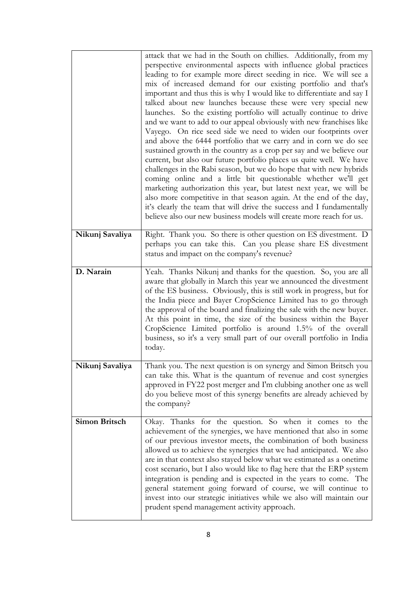|                      | attack that we had in the South on chillies. Additionally, from my<br>perspective environmental aspects with influence global practices<br>leading to for example more direct seeding in rice. We will see a<br>mix of increased demand for our existing portfolio and that's<br>important and thus this is why I would like to differentiate and say I<br>talked about new launches because these were very special new<br>launches. So the existing portfolio will actually continue to drive<br>and we want to add to our appeal obviously with new franchises like<br>Vayego. On rice seed side we need to widen our footprints over<br>and above the 6444 portfolio that we carry and in corn we do see<br>sustained growth in the country as a crop per say and we believe our<br>current, but also our future portfolio places us quite well. We have<br>challenges in the Rabi season, but we do hope that with new hybrids<br>coming online and a little bit questionable whether we'll get<br>marketing authorization this year, but latest next year, we will be<br>also more competitive in that season again. At the end of the day,<br>it's clearly the team that will drive the success and I fundamentally<br>believe also our new business models will create more reach for us. |
|----------------------|---------------------------------------------------------------------------------------------------------------------------------------------------------------------------------------------------------------------------------------------------------------------------------------------------------------------------------------------------------------------------------------------------------------------------------------------------------------------------------------------------------------------------------------------------------------------------------------------------------------------------------------------------------------------------------------------------------------------------------------------------------------------------------------------------------------------------------------------------------------------------------------------------------------------------------------------------------------------------------------------------------------------------------------------------------------------------------------------------------------------------------------------------------------------------------------------------------------------------------------------------------------------------------------------------|
| Nikunj Savaliya      | Right. Thank you. So there is other question on ES divestment. D<br>perhaps you can take this. Can you please share ES divestment<br>status and impact on the company's revenue?                                                                                                                                                                                                                                                                                                                                                                                                                                                                                                                                                                                                                                                                                                                                                                                                                                                                                                                                                                                                                                                                                                                  |
| D. Narain            | Yeah. Thanks Nikunj and thanks for the question. So, you are all<br>aware that globally in March this year we announced the divestment<br>of the ES business. Obviously, this is still work in progress, but for<br>the India piece and Bayer CropScience Limited has to go through<br>the approval of the board and finalizing the sale with the new buyer.<br>At this point in time, the size of the business within the Bayer<br>CropScience Limited portfolio is around 1.5% of the overall<br>business, so it's a very small part of our overall portfolio in India<br>today.                                                                                                                                                                                                                                                                                                                                                                                                                                                                                                                                                                                                                                                                                                                |
| Nikunj Savaliya      | Thank you. The next question is on synergy and Simon Britsch you<br>can take this. What is the quantum of revenue and cost synergies<br>approved in FY22 post merger and I'm clubbing another one as well<br>do you believe most of this synergy benefits are already achieved by<br>the company?                                                                                                                                                                                                                                                                                                                                                                                                                                                                                                                                                                                                                                                                                                                                                                                                                                                                                                                                                                                                 |
| <b>Simon Britsch</b> | Okay. Thanks for the question. So when it comes to the<br>achievement of the synergies, we have mentioned that also in some<br>of our previous investor meets, the combination of both business<br>allowed us to achieve the synergies that we had anticipated. We also<br>are in that context also stayed below what we estimated as a onetime<br>cost scenario, but I also would like to flag here that the ERP system<br>integration is pending and is expected in the years to come. The<br>general statement going forward of course, we will continue to<br>invest into our strategic initiatives while we also will maintain our<br>prudent spend management activity approach.                                                                                                                                                                                                                                                                                                                                                                                                                                                                                                                                                                                                            |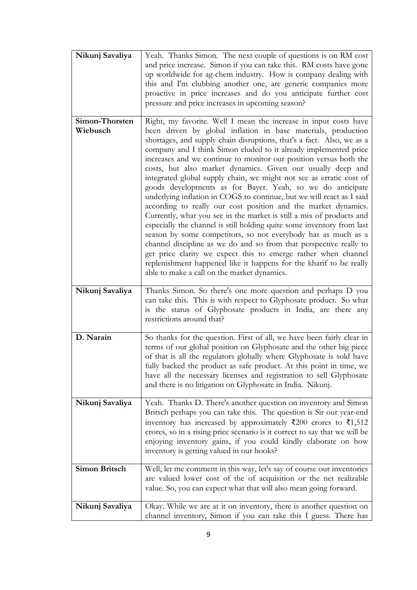| Nikunj Savaliya            | Yeah. Thanks Simon. The next couple of questions is on RM cost<br>and price increase. Simon if you can take this. RM costs have gone<br>up worldwide for ag-chem industry. How is company dealing with<br>this and I'm clubbing another one, are generic companies more<br>proactive in price increases and do you anticipate further cost<br>pressure and price increases in upcoming season?                                                                                                                                                                                                                                                                                                                                                                                                                                                                                                                                                                                                                                                                                                                                                                                     |
|----------------------------|------------------------------------------------------------------------------------------------------------------------------------------------------------------------------------------------------------------------------------------------------------------------------------------------------------------------------------------------------------------------------------------------------------------------------------------------------------------------------------------------------------------------------------------------------------------------------------------------------------------------------------------------------------------------------------------------------------------------------------------------------------------------------------------------------------------------------------------------------------------------------------------------------------------------------------------------------------------------------------------------------------------------------------------------------------------------------------------------------------------------------------------------------------------------------------|
| Simon-Thorsten<br>Wiebusch | Right, my favorite. Well I mean the increase in input costs have<br>been driven by global inflation in base materials, production<br>shortages, and supply chain disruptions, that's a fact. Also, we as a<br>company and I think Simon eluded to it already implemented price<br>increases and we continue to monitor our position versus both the<br>costs, but also market dynamics. Given our usually deep and<br>integrated global supply chain, we might not see as erratic cost of<br>goods developments as for Bayer. Yeah, so we do anticipate<br>underlying inflation in COGS to continue, but we will react as I said<br>according to really our cost position and the market dynamics.<br>Currently, what you see in the market is still a mix of products and<br>especially the channel is still holding quite some inventory from last<br>season by some competitors, so not everybody has as much as a<br>channel discipline as we do and so from that perspective really to<br>get price clarity we expect this to emerge rather when channel<br>replenishment happened like it happens for the kharif to be really<br>able to make a call on the market dynamics. |
| Nikunj Savaliya            | Thanks Simon. So there's one more question and perhaps D you<br>can take this. This is with respect to Glyphosate product. So what<br>is the status of Glyphosate products in India, are there any<br>restrictions around that?                                                                                                                                                                                                                                                                                                                                                                                                                                                                                                                                                                                                                                                                                                                                                                                                                                                                                                                                                    |
| D. Narain                  | So thanks for the question. First of all, we have been fairly clear in<br>terms of our global position on Glyphosate and the other big piece<br>of that is all the regulators globally where Glyphosate is sold have<br>fully backed the product as safe product. At this point in time, we<br>have all the necessary licenses and registration to sell Glyphosate<br>and there is no litigation on Glyphosate in India. Nikunj.                                                                                                                                                                                                                                                                                                                                                                                                                                                                                                                                                                                                                                                                                                                                                   |
| Nikunj Savaliya            | Yeah. Thanks D. There's another question on inventory and Simon<br>Britsch perhaps you can take this. The question is Sir our year-end<br>inventory has increased by approximately $\bar{\xi}$ 200 crores to $\bar{\xi}$ 1,512<br>crores, so in a rising price scenario is it correct to say that we will be<br>enjoying inventory gains, if you could kindly elaborate on how<br>inventory is getting valued in our books?                                                                                                                                                                                                                                                                                                                                                                                                                                                                                                                                                                                                                                                                                                                                                        |
| <b>Simon Britsch</b>       | Well, let me comment in this way, let's say of course our inventories<br>are valued lower cost of the of acquisition or the net realizable<br>value. So, you can expect what that will also mean going forward.                                                                                                                                                                                                                                                                                                                                                                                                                                                                                                                                                                                                                                                                                                                                                                                                                                                                                                                                                                    |
| Nikunj Savaliya            | Okay. While we are at it on inventory, there is another question on<br>channel inventory, Simon if you can take this I guess. There has                                                                                                                                                                                                                                                                                                                                                                                                                                                                                                                                                                                                                                                                                                                                                                                                                                                                                                                                                                                                                                            |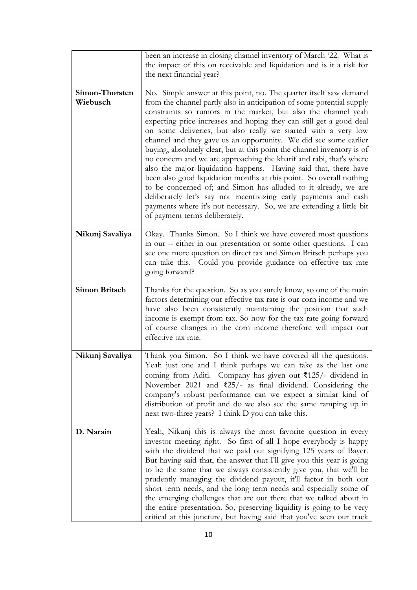|                            | been an increase in closing channel inventory of March '22. What is<br>the impact of this on receivable and liquidation and is it a risk for<br>the next financial year?                                                                                                                                                                                                                                                                                                                                                                                                                                                                                                                                                                                                                                                                                                                                                                                                 |
|----------------------------|--------------------------------------------------------------------------------------------------------------------------------------------------------------------------------------------------------------------------------------------------------------------------------------------------------------------------------------------------------------------------------------------------------------------------------------------------------------------------------------------------------------------------------------------------------------------------------------------------------------------------------------------------------------------------------------------------------------------------------------------------------------------------------------------------------------------------------------------------------------------------------------------------------------------------------------------------------------------------|
| Simon-Thorsten<br>Wiebusch | No. Simple answer at this point, no. The quarter itself saw demand<br>from the channel partly also in anticipation of some potential supply<br>constraints so rumors in the market, but also the channel yeah<br>expecting price increases and hoping they can still get a good deal<br>on some deliveries, but also really we started with a very low<br>channel and they gave us an opportunity. We did see some earlier<br>buying, absolutely clear, but at this point the channel inventory is of<br>no concern and we are approaching the kharif and rabi, that's where<br>also the major liquidation happens. Having said that, there have<br>been also good liquidation months at this point. So overall nothing<br>to be concerned of; and Simon has alluded to it already, we are<br>deliberately let's say not incentivizing early payments and cash<br>payments where it's not necessary. So, we are extending a little bit<br>of payment terms deliberately. |
| Nikunj Savaliya            | Okay. Thanks Simon. So I think we have covered most questions<br>in our -- either in our presentation or some other questions. I can<br>see one more question on direct tax and Simon Britsch perhaps you<br>can take this. Could you provide guidance on effective tax rate<br>going forward?                                                                                                                                                                                                                                                                                                                                                                                                                                                                                                                                                                                                                                                                           |
| <b>Simon Britsch</b>       | Thanks for the question. So as you surely know, so one of the main<br>factors determining our effective tax rate is our corn income and we<br>have also been consistently maintaining the position that such<br>income is exempt from tax. So now for the tax rate going forward<br>of course changes in the corn income therefore will impact our<br>effective tax rate.                                                                                                                                                                                                                                                                                                                                                                                                                                                                                                                                                                                                |
| Nikunj Savaliya            | Thank you Simon. So I think we have covered all the questions.<br>Yeah just one and I think perhaps we can take as the last one<br>coming from Aditi. Company has given out $\overline{\xi}$ 125/- dividend in<br>November 2021 and $\overline{\xi}25$ /- as final dividend. Considering the<br>company's robust performance can we expect a similar kind of<br>distribution of profit and do we also see the same ramping up in<br>next two-three years? I think D you can take this.                                                                                                                                                                                                                                                                                                                                                                                                                                                                                   |
| D. Narain                  | Yeah, Nikunj this is always the most favorite question in every<br>investor meeting right. So first of all I hope everybody is happy<br>with the dividend that we paid out signifying 125 years of Bayer.<br>But having said that, the answer that I'll give you this year is going<br>to be the same that we always consistently give you, that we'll be<br>prudently managing the dividend payout, it'll factor in both our<br>short term needs, and the long term needs and especially some of<br>the emerging challenges that are out there that we talked about in<br>the entire presentation. So, preserving liquidity is going to be very<br>critical at this juncture, but having said that you've seen our track                                                                                                                                                                                                                                                |